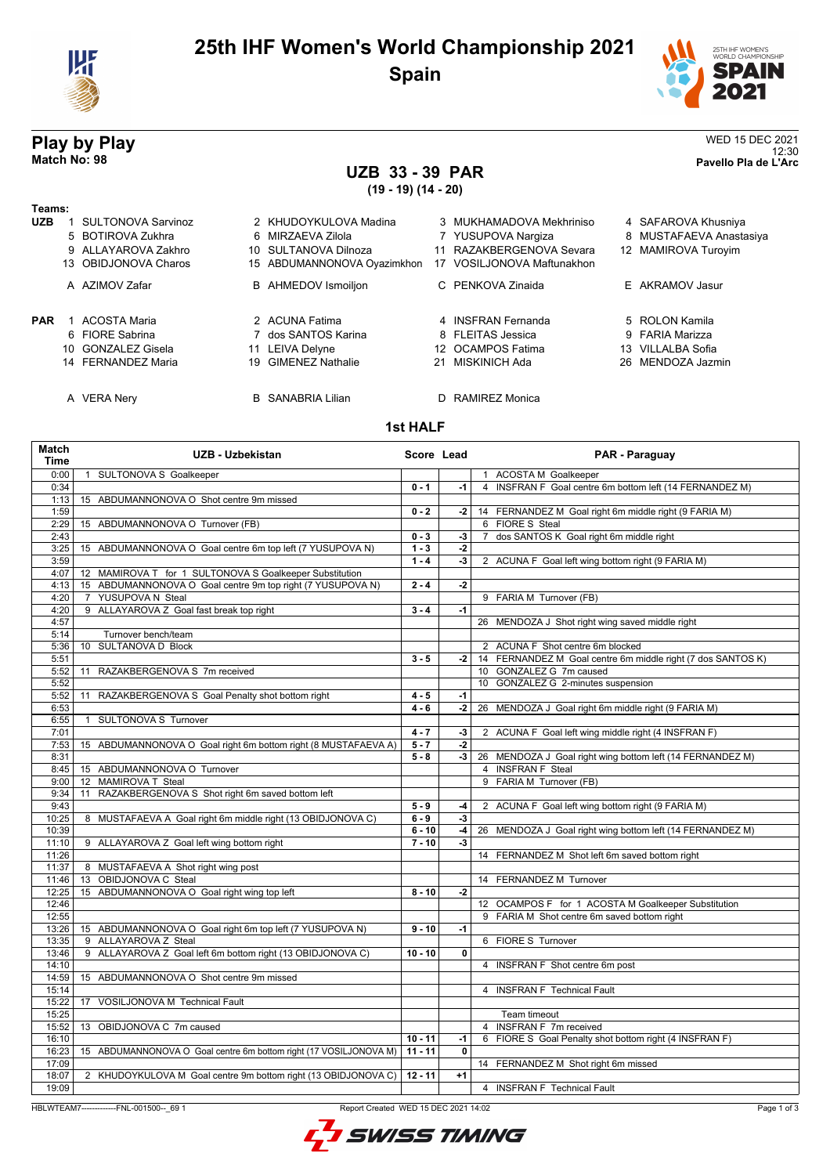

## **25th IHF Women's World Championship 2021 Spain**



12:30 **Match No: 98 Pavello Pla de L'Arc**

# **Play by Play**<br>Match No: 98<br>Pavello Pla de L'Arc

# **UZB 33 - 39 PAR**

**(19 - 19) (14 - 20)**

| Teams:     |                           |    |                             |     |                          |     |                         |
|------------|---------------------------|----|-----------------------------|-----|--------------------------|-----|-------------------------|
| <b>UZB</b> | <b>SULTONOVA Sarvinoz</b> |    | 2 KHUDOYKULOVA Madina       |     | 3 MUKHAMADOVA Mekhriniso |     | 4 SAFAROVA Khusniya     |
|            | 5 BOTIROVA Zukhra         |    | 6 MIRZAEVA Zilola           |     | 7 YUSUPOVA Nargiza       |     | 8 MUSTAFAEVA Anastasiya |
|            | 9 ALLAYAROVA Zakhro       |    | 10 SULTANOVA Dilnoza        |     | 11 RAZAKBERGENOVA Sevara |     | 12 MAMIROVA Turoyim     |
|            | 13 OBIDJONOVA Charos      |    | 15 ABDUMANNONOVA Oyazimkhon | 17. | VOSILJONOVA Maftunakhon  |     |                         |
|            | A AZIMOV Zafar            |    | <b>B</b> AHMEDOV Ismoiljon  |     | C PENKOVA Zinaida        |     | E AKRAMOV Jasur         |
| <b>PAR</b> | <b>ACOSTA Maria</b>       |    | 2 ACUNA Fatima              |     | 4 INSERAN Fernanda       |     | 5 ROLON Kamila          |
|            | 6 FIORE Sabrina           |    | 7 dos SANTOS Karina         |     | 8 FLEITAS Jessica        |     | 9 FARIA Marizza         |
|            | 10 GONZALEZ Gisela        |    | 11 LEIVA Delyne             |     | 12 OCAMPOS Fatima        | 13. | VILLALBA Sofia          |
|            | 14 FERNANDEZ Maria        | 19 | <b>GIMENEZ Nathalie</b>     |     | 21 MISKINICH Ada         |     | 26 MENDOZA Jazmin       |
|            | A VERA Nery               |    | <b>B</b> SANABRIA Lilian    |     | D RAMIREZ Monica         |     |                         |

#### **1st HALF**

| Match<br><b>Time</b> | <b>UZB - Uzbekistan</b>                                           | Score Lead |             | PAR - Paraguay                                              |
|----------------------|-------------------------------------------------------------------|------------|-------------|-------------------------------------------------------------|
| 0:00                 | 1 SULTONOVA S Goalkeeper                                          |            |             | 1 ACOSTA M Goalkeeper                                       |
| 0:34                 |                                                                   | $0 - 1$    | -1          | 4 INSFRAN F Goal centre 6m bottom left (14 FERNANDEZ M)     |
| 1:13                 | 15 ABDUMANNONOVA O Shot centre 9m missed                          |            |             |                                                             |
| 1:59                 |                                                                   | $0 - 2$    | -2          | 14 FERNANDEZ M Goal right 6m middle right (9 FARIA M)       |
| 2:29                 | 15 ABDUMANNONOVA O Turnover (FB)                                  |            |             | 6 FIORE S Steal                                             |
| 2:43                 |                                                                   | $0 - 3$    | -3          | dos SANTOS K Goal right 6m middle right<br>$\overline{7}$   |
| 3:25                 | 15 ABDUMANNONOVA O Goal centre 6m top left (7 YUSUPOVA N)         | $1 - 3$    | -2          |                                                             |
| 3:59                 |                                                                   | $1 - 4$    | -3          | 2 ACUNA F Goal left wing bottom right (9 FARIA M)           |
| 4:07                 | 12 MAMIROVA T for 1 SULTONOVA S Goalkeeper Substitution           |            |             |                                                             |
| 4:13                 | 15 ABDUMANNONOVA O Goal centre 9m top right (7 YUSUPOVA N)        | $2 - 4$    | $-2$        |                                                             |
| 4:20                 | 7 YUSUPOVA N Steal                                                |            |             | 9 FARIA M Turnover (FB)                                     |
| 4:20                 | 9 ALLAYAROVA Z Goal fast break top right                          | $3 - 4$    | $-1$        |                                                             |
| 4:57                 |                                                                   |            |             | 26 MENDOZA J Shot right wing saved middle right             |
| 5:14                 | Turnover bench/team                                               |            |             |                                                             |
| 5:36                 | 10 SULTANOVA D Block                                              |            |             | 2 ACUNA F Shot centre 6m blocked                            |
| 5:51                 |                                                                   | $3 - 5$    | -2 l        | 14 FERNANDEZ M Goal centre 6m middle right (7 dos SANTOS K) |
| 5:52                 | 11 RAZAKBERGENOVA S 7m received                                   |            |             | 10 GONZALEZ G 7m caused                                     |
| 5:52                 |                                                                   |            |             | 10 GONZALEZ G 2-minutes suspension                          |
| 5:52                 | RAZAKBERGENOVA S Goal Penalty shot bottom right<br>11             | $4 - 5$    | $-1$        |                                                             |
| 6:53                 |                                                                   | $4 - 6$    | $-2$        | 26 MENDOZA J Goal right 6m middle right (9 FARIA M)         |
| 6:55                 | SULTONOVA S Turnover<br>$\mathbf{1}$                              |            |             |                                                             |
| 7:01                 |                                                                   | $4 - 7$    | -3          | 2 ACUNA F Goal left wing middle right (4 INSFRAN F)         |
| 7:53                 | 15 ABDUMANNONOVA O Goal right 6m bottom right (8 MUSTAFAEVA A)    | $5 - 7$    | $-2$        |                                                             |
| 8:31                 |                                                                   | $5 - 8$    | -3          | 26 MENDOZA J Goal right wing bottom left (14 FERNANDEZ M)   |
| 8:45                 | 15 ABDUMANNONOVA O Turnover                                       |            |             | 4 INSFRAN F Steal                                           |
| 9:00                 | 12 MAMIROVA T Steal                                               |            |             | 9 FARIA M Turnover (FB)                                     |
| 9:34                 | RAZAKBERGENOVA S Shot right 6m saved bottom left<br>11            |            |             |                                                             |
| 9:43                 |                                                                   | $5 - 9$    | -4          | 2 ACUNA F Goal left wing bottom right (9 FARIA M)           |
| 10:25                | 8 MUSTAFAEVA A Goal right 6m middle right (13 OBIDJONOVA C)       | $6 - 9$    | $-3$        |                                                             |
| 10:39                |                                                                   | $6 - 10$   | -4          | 26 MENDOZA J Goal right wing bottom left (14 FERNANDEZ M)   |
| 11:10                | 9 ALLAYAROVA Z Goal left wing bottom right                        | $7 - 10$   | -3          |                                                             |
| 11:26                |                                                                   |            |             | 14 FERNANDEZ M Shot left 6m saved bottom right              |
| 11:37                | 8 MUSTAFAEVA A Shot right wing post                               |            |             |                                                             |
| 11:46                | 13 OBIDJONOVA C Steal                                             |            |             | 14 FERNANDEZ M Turnover                                     |
| 12:25                | 15 ABDUMANNONOVA O Goal right wing top left                       | $8 - 10$   | -2          |                                                             |
| 12:46                |                                                                   |            |             | 12 OCAMPOS F for 1 ACOSTA M Goalkeeper Substitution         |
| 12:55                |                                                                   |            |             | 9 FARIA M Shot centre 6m saved bottom right                 |
| 13:26                | 15 ABDUMANNONOVA O Goal right 6m top left (7 YUSUPOVA N)          | $9 - 10$   | $-1$        |                                                             |
| 13:35                | 9 ALLAYAROVA Z Steal                                              |            |             | 6 FIORE S Turnover                                          |
| 13:46                | 9 ALLAYAROVA Z Goal left 6m bottom right (13 OBIDJONOVA C)        | $10 - 10$  | $\mathbf 0$ |                                                             |
| 14:10                |                                                                   |            |             | 4 INSFRAN F Shot centre 6m post                             |
| 14:59                | 15 ABDUMANNONOVA O Shot centre 9m missed                          |            |             |                                                             |
| 15:14                |                                                                   |            |             | 4 INSFRAN F Technical Fault                                 |
| 15:22                | 17 VOSILJONOVA M Technical Fault                                  |            |             |                                                             |
| 15:25                |                                                                   |            |             | Team timeout                                                |
| 15:52                | 13 OBIDJONOVA C 7m caused                                         |            |             | 4 INSFRAN F 7m received                                     |
| 16:10                |                                                                   | $10 - 11$  | $-1$        | 6 FIORE S Goal Penalty shot bottom right (4 INSFRAN F)      |
| 16:23                | 15 ABDUMANNONOVA O Goal centre 6m bottom right (17 VOSILJONOVA M) | $11 - 11$  | $\mathbf 0$ |                                                             |
| 17:09                |                                                                   |            |             | 14 FERNANDEZ M Shot right 6m missed                         |
| 18:07                | 2 KHUDOYKULOVA M Goal centre 9m bottom right (13 OBIDJONOVA C)    | $12 - 11$  | $+1$        |                                                             |
| 19:09                |                                                                   |            |             | 4 INSFRAN F Technical Fault                                 |
|                      |                                                                   |            |             |                                                             |

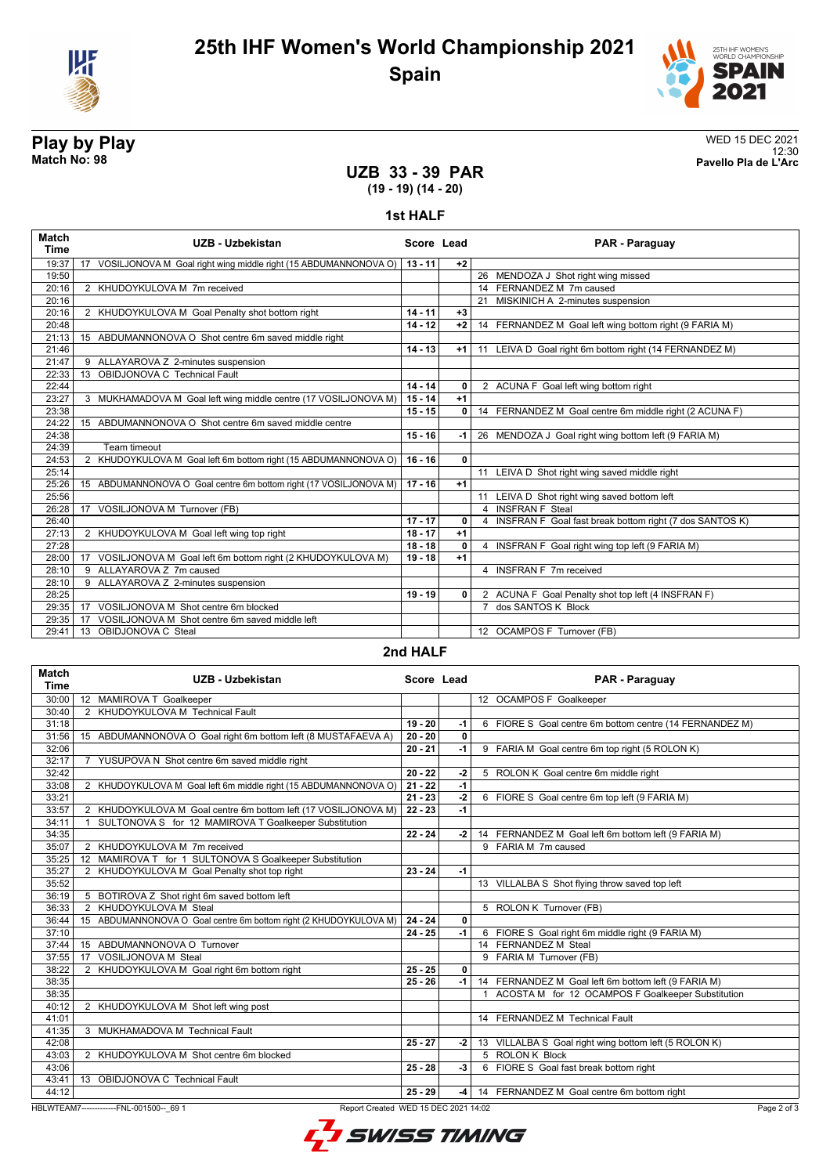



12:30 **Match No: 98 Pavello Pla de L'Arc**

# **Play by Play**<br>Match No: 98<br>Pavello Pla de L'Arc

## **UZB 33 - 39 PAR (19 - 19) (14 - 20)**

### **1st HALF**

| <b>Match</b><br>Time | UZB - Uzbekistan                                                   | Score Lead |              | PAR - Paraguay                                            |
|----------------------|--------------------------------------------------------------------|------------|--------------|-----------------------------------------------------------|
| 19:37                | 17 VOSILJONOVA M Goal right wing middle right (15 ABDUMANNONOVA O) | $13 - 11$  | $+2$         |                                                           |
| 19:50                |                                                                    |            |              | 26 MENDOZA J Shot right wing missed                       |
| 20:16                | 2 KHUDOYKULOVA M 7m received                                       |            |              | 14 FERNANDEZ M 7m caused                                  |
| 20:16                |                                                                    |            |              | 21 MISKINICH A 2-minutes suspension                       |
| 20:16                | 2 KHUDOYKULOVA M Goal Penalty shot bottom right                    | $14 - 11$  | $+3$         |                                                           |
| 20:48                |                                                                    | $14 - 12$  | $+2$         | 14 FERNANDEZ M Goal left wing bottom right (9 FARIA M)    |
| 21:13                | 15 ABDUMANNONOVA O Shot centre 6m saved middle right               |            |              |                                                           |
| 21:46                |                                                                    | $14 - 13$  | $+1$         | 11 LEIVA D Goal right 6m bottom right (14 FERNANDEZ M)    |
| 21:47                | 9 ALLAYAROVA Z 2-minutes suspension                                |            |              |                                                           |
| 22:33                | OBIDJONOVA C Technical Fault<br>13                                 |            |              |                                                           |
| 22:44                |                                                                    | $14 - 14$  | 0            | 2 ACUNA F Goal left wing bottom right                     |
| 23:27                | 3 MUKHAMADOVA M Goal left wing middle centre (17 VOSILJONOVA M)    | $15 - 14$  | $+1$         |                                                           |
| 23:38                |                                                                    | $15 - 15$  | $\mathbf{0}$ | 14 FERNANDEZ M Goal centre 6m middle right (2 ACUNA F)    |
| 24:22                | 15 ABDUMANNONOVA O Shot centre 6m saved middle centre              |            |              |                                                           |
| 24:38                |                                                                    | $15 - 16$  | -1           | 26 MENDOZA J Goal right wing bottom left (9 FARIA M)      |
| 24:39                | Team timeout                                                       |            |              |                                                           |
| 24:53                | 2 KHUDOYKULOVA M Goal left 6m bottom right (15 ABDUMANNONOVA O)    | $16 - 16$  | 0            |                                                           |
| 25:14                |                                                                    |            |              | 11 LEIVA D Shot right wing saved middle right             |
| 25:26                | 15 ABDUMANNONOVA O Goal centre 6m bottom right (17 VOSILJONOVA M)  | $17 - 16$  | $+1$         |                                                           |
| 25:56                |                                                                    |            |              | 11 LEIVA D Shot right wing saved bottom left              |
| 26:28                | VOSILJONOVA M Turnover (FB)<br>17                                  |            |              | 4 INSFRAN F Steal                                         |
| 26:40                |                                                                    | $17 - 17$  | 0            | 4 INSFRAN F Goal fast break bottom right (7 dos SANTOS K) |
| 27:13                | 2 KHUDOYKULOVA M Goal left wing top right                          | $18 - 17$  | $+1$         |                                                           |
| 27:28                |                                                                    | $18 - 18$  | 0            | 4 INSFRAN F Goal right wing top left (9 FARIA M)          |
| 28:00                | 17 VOSILJONOVA M Goal left 6m bottom right (2 KHUDOYKULOVA M)      | $19 - 18$  | $+1$         |                                                           |
| 28:10                | 9 ALLAYAROVA Z 7m caused                                           |            |              | 4 INSFRAN F 7m received                                   |
| 28:10                | 9 ALLAYAROVA Z 2-minutes suspension                                |            |              |                                                           |
| 28:25                |                                                                    | $19 - 19$  | 0            | 2 ACUNA F Goal Penalty shot top left (4 INSFRAN F)        |
| 29:35                | VOSILJONOVA M Shot centre 6m blocked<br>17                         |            |              | dos SANTOS K Block<br>$\overline{7}$                      |
| 29:35                | VOSILJONOVA M Shot centre 6m saved middle left<br>17               |            |              |                                                           |
| 29:41                | 13 OBIDJONOVA C Steal                                              |            |              | 12 OCAMPOS F Turnover (FB)                                |

### **2nd HALF**

| <b>Match</b><br><b>Time</b>                                                                    | UZB - Uzbekistan                                                      | Score Lead |      | PAR - Paraguay                                          |
|------------------------------------------------------------------------------------------------|-----------------------------------------------------------------------|------------|------|---------------------------------------------------------|
| 30:00                                                                                          | 12 MAMIROVA T Goalkeeper                                              |            |      | 12 OCAMPOS F Goalkeeper                                 |
| 30:40                                                                                          | 2 KHUDOYKULOVA M Technical Fault                                      |            |      |                                                         |
| 31:18                                                                                          |                                                                       | $19 - 20$  | $-1$ | 6 FIORE S Goal centre 6m bottom centre (14 FERNANDEZ M) |
| 31:56                                                                                          | 15 ABDUMANNONOVA O Goal right 6m bottom left (8 MUSTAFAEVA A)         | $20 - 20$  | 0    |                                                         |
| 32:06                                                                                          |                                                                       | $20 - 21$  | $-1$ | 9 FARIA M Goal centre 6m top right (5 ROLON K)          |
| 32:17                                                                                          | 7 YUSUPOVA N Shot centre 6m saved middle right                        |            |      |                                                         |
| 32:42                                                                                          |                                                                       | $20 - 22$  | -2   | 5 ROLON K Goal centre 6m middle right                   |
| 33:08                                                                                          | 2 KHUDOYKULOVA M Goal left 6m middle right (15 ABDUMANNONOVA O)       | $21 - 22$  | $-1$ |                                                         |
| 33:21                                                                                          |                                                                       | $21 - 23$  | $-2$ | 6 FIORE S Goal centre 6m top left (9 FARIA M)           |
| 33:57                                                                                          | 2 KHUDOYKULOVA M Goal centre 6m bottom left (17 VOSILJONOVA M)        | $22 - 23$  | $-1$ |                                                         |
| 34:11                                                                                          | SULTONOVA S for 12 MAMIROVA T Goalkeeper Substitution<br>$\mathbf{1}$ |            |      |                                                         |
| 34:35                                                                                          |                                                                       | $22 - 24$  | $-2$ | 14 FERNANDEZ M Goal left 6m bottom left (9 FARIA M)     |
| 35:07                                                                                          | 2 KHUDOYKULOVA M 7m received                                          |            |      | 9 FARIA M 7m caused                                     |
| 35:25                                                                                          | 12 MAMIROVA T for 1 SULTONOVA S Goalkeeper Substitution               |            |      |                                                         |
| 35:27                                                                                          | 2 KHUDOYKULOVA M Goal Penalty shot top right                          | $23 - 24$  | $-1$ |                                                         |
| 35:52                                                                                          |                                                                       |            |      | 13 VILLALBA S Shot flying throw saved top left          |
| 36:19                                                                                          | 5 BOTIROVA Z Shot right 6m saved bottom left                          |            |      |                                                         |
| 36:33                                                                                          | 2 KHUDOYKULOVA M Steal                                                |            |      | 5 ROLON K Turnover (FB)                                 |
| 36:44                                                                                          | 15 ABDUMANNONOVA O Goal centre 6m bottom right (2 KHUDOYKULOVA M)     | $24 - 24$  | 0    |                                                         |
| 37:10                                                                                          |                                                                       | $24 - 25$  | $-1$ | 6 FIORE S Goal right 6m middle right (9 FARIA M)        |
| 37:44                                                                                          | 15 ABDUMANNONOVA O Turnover                                           |            |      | 14 FERNANDEZ M Steal                                    |
| 37:55                                                                                          | 17 VOSILJONOVA M Steal                                                |            |      | 9 FARIA M Turnover (FB)                                 |
| 38:22                                                                                          | 2 KHUDOYKULOVA M Goal right 6m bottom right                           | $25 - 25$  | 0    |                                                         |
| 38:35                                                                                          |                                                                       | $25 - 26$  | $-1$ | 14 FERNANDEZ M Goal left 6m bottom left (9 FARIA M)     |
| 38:35                                                                                          |                                                                       |            |      | 1 ACOSTA M for 12 OCAMPOS F Goalkeeper Substitution     |
| 40:12                                                                                          | 2 KHUDOYKULOVA M Shot left wing post                                  |            |      |                                                         |
| 41:01                                                                                          |                                                                       |            |      | 14 FERNANDEZ M Technical Fault                          |
| 41:35                                                                                          | 3 MUKHAMADOVA M Technical Fault                                       |            |      |                                                         |
| 42:08                                                                                          |                                                                       | $25 - 27$  | -2   | 13 VILLALBA S Goal right wing bottom left (5 ROLON K)   |
| 43:03                                                                                          | 2 KHUDOYKULOVA M Shot centre 6m blocked                               |            |      | 5 ROLON K Block                                         |
| 43:06                                                                                          |                                                                       | $25 - 28$  | $-3$ | 6 FIORE S Goal fast break bottom right                  |
| 43:41                                                                                          | 13 OBIDJONOVA C Technical Fault                                       |            |      |                                                         |
| 44:12                                                                                          |                                                                       | $25 - 29$  | $-4$ | 14 FERNANDEZ M Goal centre 6m bottom right              |
| HBLWTEAM7-------------FNL-001500-- 69 1<br>Report Created WED 15 DEC 2021 14:02<br>Page 2 of 3 |                                                                       |            |      |                                                         |